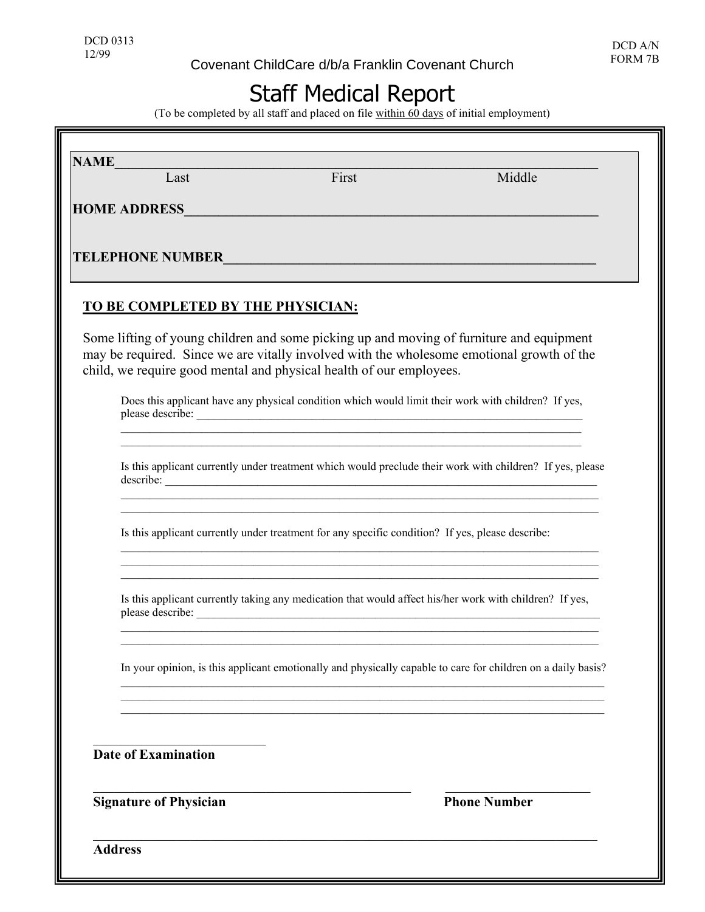## Staff Medical Report

(To be completed by all staff and placed on file within 60 days of initial employment)

| <b>NAME</b> | Last                              | First                                                                                                                                                                                                                                | Middle                                                                                                                                                                                |
|-------------|-----------------------------------|--------------------------------------------------------------------------------------------------------------------------------------------------------------------------------------------------------------------------------------|---------------------------------------------------------------------------------------------------------------------------------------------------------------------------------------|
|             |                                   |                                                                                                                                                                                                                                      |                                                                                                                                                                                       |
|             |                                   | HOME ADDRESS <b>Andrew Contract Contract Contract Contract Contract Contract Contract Contract Contract Contract Contract Contract Contract Contract Contract Contract Contract Contract Contract Contract Contract Contract Con</b> |                                                                                                                                                                                       |
|             |                                   |                                                                                                                                                                                                                                      | TELEPHONE NUMBER                                                                                                                                                                      |
|             |                                   |                                                                                                                                                                                                                                      |                                                                                                                                                                                       |
|             | TO BE COMPLETED BY THE PHYSICIAN: |                                                                                                                                                                                                                                      |                                                                                                                                                                                       |
|             |                                   | child, we require good mental and physical health of our employees.                                                                                                                                                                  | Some lifting of young children and some picking up and moving of furniture and equipment<br>may be required. Since we are vitally involved with the wholesome emotional growth of the |
|             |                                   |                                                                                                                                                                                                                                      | Does this applicant have any physical condition which would limit their work with children? If yes,                                                                                   |
|             |                                   |                                                                                                                                                                                                                                      | Is this applicant currently under treatment which would preclude their work with children? If yes, please<br>describe:                                                                |
|             |                                   | Is this applicant currently under treatment for any specific condition? If yes, please describe:                                                                                                                                     | <u> 1980 - Jan James James James James James James James James James James James James James James James James</u><br><u> 1989 - Johann Stoff, amerikansk politiker (d. 1989)</u>     |
|             |                                   |                                                                                                                                                                                                                                      | Is this applicant currently taking any medication that would affect his/her work with children? If yes,                                                                               |
|             |                                   |                                                                                                                                                                                                                                      | In your opinion, is this applicant emotionally and physically capable to care for children on a daily basis?                                                                          |
|             |                                   |                                                                                                                                                                                                                                      |                                                                                                                                                                                       |
|             | <b>Date of Examination</b>        |                                                                                                                                                                                                                                      |                                                                                                                                                                                       |
|             | <b>Signature of Physician</b>     |                                                                                                                                                                                                                                      | <b>Phone Number</b>                                                                                                                                                                   |